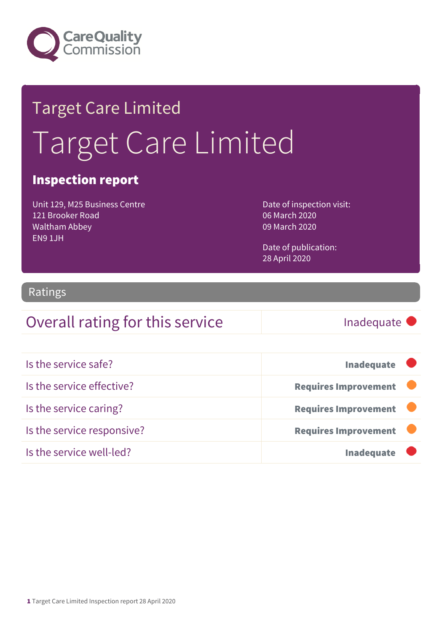

# Target Care Limited Target Care Limited

### Inspection report

Unit 129, M25 Business Centre 121 Brooker Road Waltham Abbey EN9 1JH

Date of inspection visit: 06 March 2020 09 March 2020

Date of publication: 28 April 2020

#### Ratings

### Overall rating for this service Inadequate

| Is the service safe?       | <b>Inadequate</b>           |
|----------------------------|-----------------------------|
| Is the service effective?  | <b>Requires Improvement</b> |
| Is the service caring?     | <b>Requires Improvement</b> |
| Is the service responsive? | <b>Requires Improvement</b> |
| Is the service well-led?   | <b>Inadequate</b>           |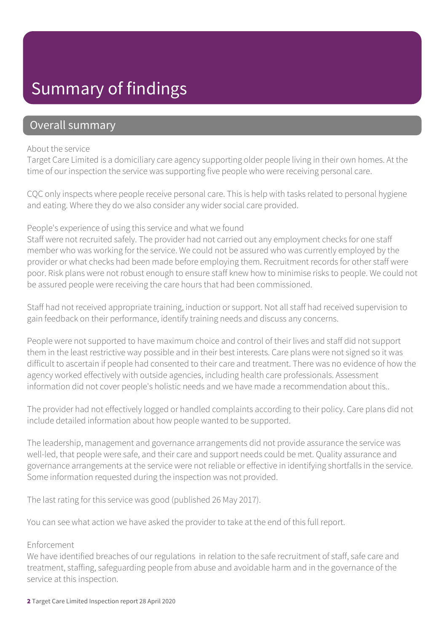# Summary of findings

### Overall summary

#### About the service

Target Care Limited is a domiciliary care agency supporting older people living in their own homes. At the time of our inspection the service was supporting five people who were receiving personal care.

CQC only inspects where people receive personal care. This is help with tasks related to personal hygiene and eating. Where they do we also consider any wider social care provided.

#### People's experience of using this service and what we found

Staff were not recruited safely. The provider had not carried out any employment checks for one staff member who was working for the service. We could not be assured who was currently employed by the provider or what checks had been made before employing them. Recruitment records for other staff were poor. Risk plans were not robust enough to ensure staff knew how to minimise risks to people. We could not be assured people were receiving the care hours that had been commissioned.

Staff had not received appropriate training, induction or support. Not all staff had received supervision to gain feedback on their performance, identify training needs and discuss any concerns.

People were not supported to have maximum choice and control of their lives and staff did not support them in the least restrictive way possible and in their best interests. Care plans were not signed so it was difficult to ascertain if people had consented to their care and treatment. There was no evidence of how the agency worked effectively with outside agencies, including health care professionals. Assessment information did not cover people's holistic needs and we have made a recommendation about this..

The provider had not effectively logged or handled complaints according to their policy. Care plans did not include detailed information about how people wanted to be supported.

The leadership, management and governance arrangements did not provide assurance the service was well-led, that people were safe, and their care and support needs could be met. Quality assurance and governance arrangements at the service were not reliable or effective in identifying shortfalls in the service. Some information requested during the inspection was not provided.

The last rating for this service was good (published 26 May 2017).

You can see what action we have asked the provider to take at the end of this full report.

#### Enforcement

We have identified breaches of our regulations in relation to the safe recruitment of staff, safe care and treatment, staffing, safeguarding people from abuse and avoidable harm and in the governance of the service at this inspection.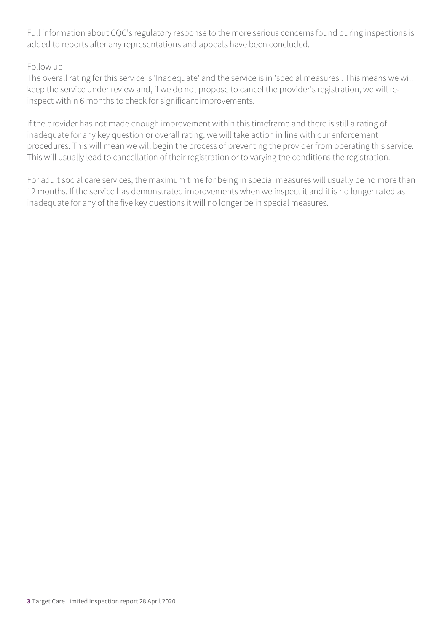Full information about CQC's regulatory response to the more serious concerns found during inspections is added to reports after any representations and appeals have been concluded.

#### Follow up

The overall rating for this service is 'Inadequate' and the service is in 'special measures'. This means we will keep the service under review and, if we do not propose to cancel the provider's registration, we will reinspect within 6 months to check for significant improvements.

If the provider has not made enough improvement within this timeframe and there is still a rating of inadequate for any key question or overall rating, we will take action in line with our enforcement procedures. This will mean we will begin the process of preventing the provider from operating this service. This will usually lead to cancellation of their registration or to varying the conditions the registration.

For adult social care services, the maximum time for being in special measures will usually be no more than 12 months. If the service has demonstrated improvements when we inspect it and it is no longer rated as inadequate for any of the five key questions it will no longer be in special measures.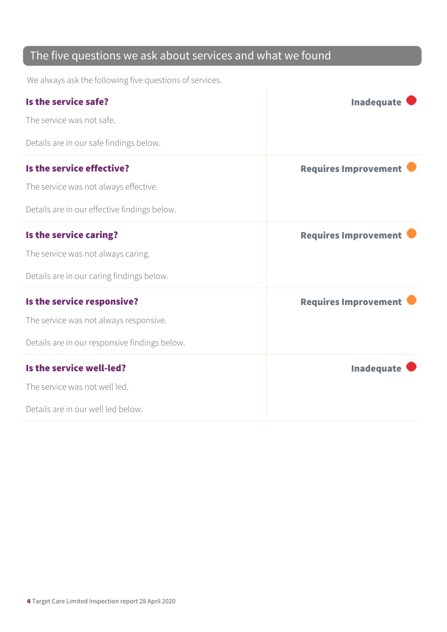### The five questions we ask about services and what we found

We always ask the following five questions of services.

| Is the service safe?                          | <b>Inadequate</b>           |
|-----------------------------------------------|-----------------------------|
| The service was not safe.                     |                             |
| Details are in our safe findings below.       |                             |
| Is the service effective?                     | <b>Requires Improvement</b> |
| The service was not always effective.         |                             |
| Details are in our effective findings below.  |                             |
| Is the service caring?                        | <b>Requires Improvement</b> |
| The service was not always caring.            |                             |
| Details are in our caring findings below.     |                             |
| Is the service responsive?                    | <b>Requires Improvement</b> |
| The service was not always responsive.        |                             |
| Details are in our responsive findings below. |                             |
| Is the service well-led?                      | <b>Inadequate</b>           |
| The service was not well led.                 |                             |
| Details are in our well led below.            |                             |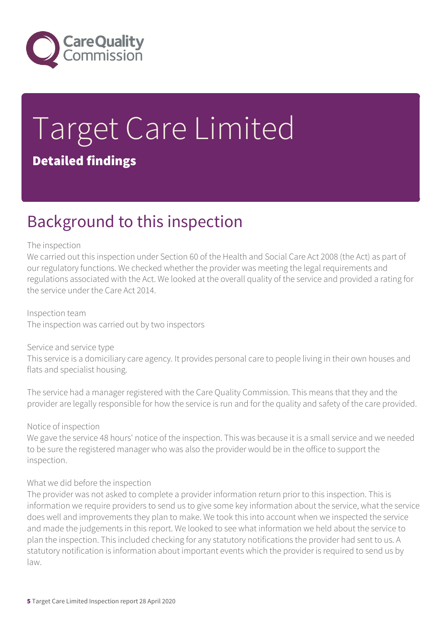

# Target Care Limited Detailed findings

## Background to this inspection

#### The inspection

We carried out this inspection under Section 60 of the Health and Social Care Act 2008 (the Act) as part of our regulatory functions. We checked whether the provider was meeting the legal requirements and regulations associated with the Act. We looked at the overall quality of the service and provided a rating for the service under the Care Act 2014.

Inspection team The inspection was carried out by two inspectors

#### Service and service type

This service is a domiciliary care agency. It provides personal care to people living in their own houses and flats and specialist housing.

The service had a manager registered with the Care Quality Commission. This means that they and the provider are legally responsible for how the service is run and for the quality and safety of the care provided.

#### Notice of inspection

We gave the service 48 hours' notice of the inspection. This was because it is a small service and we needed to be sure the registered manager who was also the provider would be in the office to support the inspection.

#### What we did before the inspection

The provider was not asked to complete a provider information return prior to this inspection. This is information we require providers to send us to give some key information about the service, what the service does well and improvements they plan to make. We took this into account when we inspected the service and made the judgements in this report. We looked to see what information we held about the service to plan the inspection. This included checking for any statutory notifications the provider had sent to us. A statutory notification is information about important events which the provider is required to send us by law.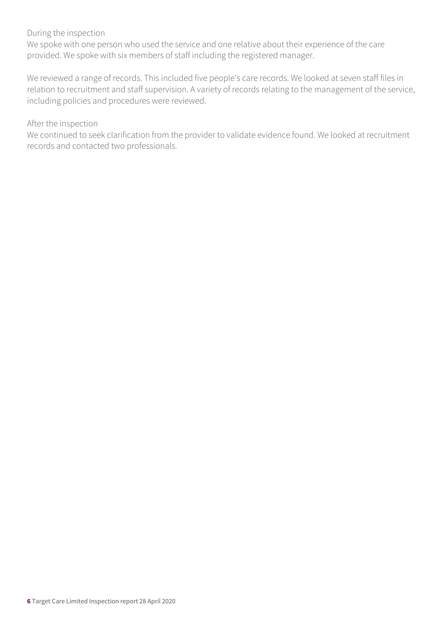#### During the inspection

We spoke with one person who used the service and one relative about their experience of the care provided. We spoke with six members of staff including the registered manager.

We reviewed a range of records. This included five people's care records. We looked at seven staff files in relation to recruitment and staff supervision. A variety of records relating to the management of the service, including policies and procedures were reviewed.

#### After the inspection

We continued to seek clarification from the provider to validate evidence found. We looked at recruitment records and contacted two professionals.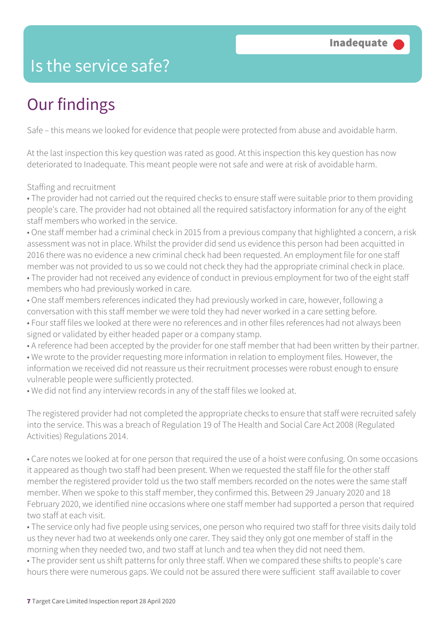### Is the service safe?

# Our findings

Safe – this means we looked for evidence that people were protected from abuse and avoidable harm.

At the last inspection this key question was rated as good. At this inspection this key question has now deteriorated to Inadequate. This meant people were not safe and were at risk of avoidable harm.

Staffing and recruitment

• The provider had not carried out the required checks to ensure staff were suitable prior to them providing people's care. The provider had not obtained all the required satisfactory information for any of the eight staff members who worked in the service.

• One staff member had a criminal check in 2015 from a previous company that highlighted a concern, a risk assessment was not in place. Whilst the provider did send us evidence this person had been acquitted in 2016 there was no evidence a new criminal check had been requested. An employment file for one staff member was not provided to us so we could not check they had the appropriate criminal check in place.

• The provider had not received any evidence of conduct in previous employment for two of the eight staff members who had previously worked in care.

- One staff members references indicated they had previously worked in care, however, following a conversation with this staff member we were told they had never worked in a care setting before.
- Four staff files we looked at there were no references and in other files references had not always been signed or validated by either headed paper or a company stamp.

• A reference had been accepted by the provider for one staff member that had been written by their partner.

• We wrote to the provider requesting more information in relation to employment files. However, the information we received did not reassure us their recruitment processes were robust enough to ensure vulnerable people were sufficiently protected.

• We did not find any interview records in any of the staff files we looked at.

The registered provider had not completed the appropriate checks to ensure that staff were recruited safely into the service. This was a breach of Regulation 19 of The Health and Social Care Act 2008 (Regulated Activities) Regulations 2014.

• Care notes we looked at for one person that required the use of a hoist were confusing. On some occasions it appeared as though two staff had been present. When we requested the staff file for the other staff member the registered provider told us the two staff members recorded on the notes were the same staff member. When we spoke to this staff member, they confirmed this. Between 29 January 2020 and 18 February 2020, we identified nine occasions where one staff member had supported a person that required two staff at each visit.

• The service only had five people using services, one person who required two staff for three visits daily told us they never had two at weekends only one carer. They said they only got one member of staff in the morning when they needed two, and two staff at lunch and tea when they did not need them.

• The provider sent us shift patterns for only three staff. When we compared these shifts to people's care hours there were numerous gaps. We could not be assured there were sufficient staff available to cover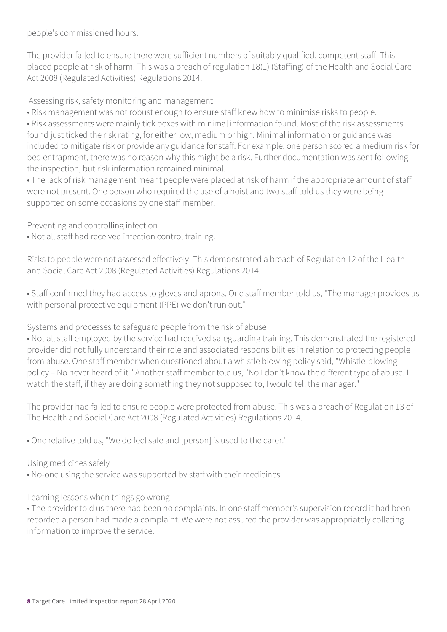people's commissioned hours.

The provider failed to ensure there were sufficient numbers of suitably qualified, competent staff. This placed people at risk of harm. This was a breach of regulation 18(1) (Staffing) of the Health and Social Care Act 2008 (Regulated Activities) Regulations 2014.

Assessing risk, safety monitoring and management

• Risk management was not robust enough to ensure staff knew how to minimise risks to people.

• Risk assessments were mainly tick boxes with minimal information found. Most of the risk assessments found just ticked the risk rating, for either low, medium or high. Minimal information or guidance was included to mitigate risk or provide any guidance for staff. For example, one person scored a medium risk for bed entrapment, there was no reason why this might be a risk. Further documentation was sent following the inspection, but risk information remained minimal.

• The lack of risk management meant people were placed at risk of harm if the appropriate amount of staff were not present. One person who required the use of a hoist and two staff told us they were being supported on some occasions by one staff member.

Preventing and controlling infection

• Not all staff had received infection control training.

Risks to people were not assessed effectively. This demonstrated a breach of Regulation 12 of the Health and Social Care Act 2008 (Regulated Activities) Regulations 2014.

• Staff confirmed they had access to gloves and aprons. One staff member told us, "The manager provides us with personal protective equipment (PPE) we don't run out."

Systems and processes to safeguard people from the risk of abuse

• Not all staff employed by the service had received safeguarding training. This demonstrated the registered provider did not fully understand their role and associated responsibilities in relation to protecting people from abuse. One staff member when questioned about a whistle blowing policy said, "Whistle-blowing policy – No never heard of it." Another staff member told us, "No I don't know the different type of abuse. I watch the staff, if they are doing something they not supposed to, I would tell the manager."

The provider had failed to ensure people were protected from abuse. This was a breach of Regulation 13 of The Health and Social Care Act 2008 (Regulated Activities) Regulations 2014.

• One relative told us, "We do feel safe and [person] is used to the carer."

#### Using medicines safely

• No-one using the service was supported by staff with their medicines.

Learning lessons when things go wrong

• The provider told us there had been no complaints. In one staff member's supervision record it had been recorded a person had made a complaint. We were not assured the provider was appropriately collating information to improve the service.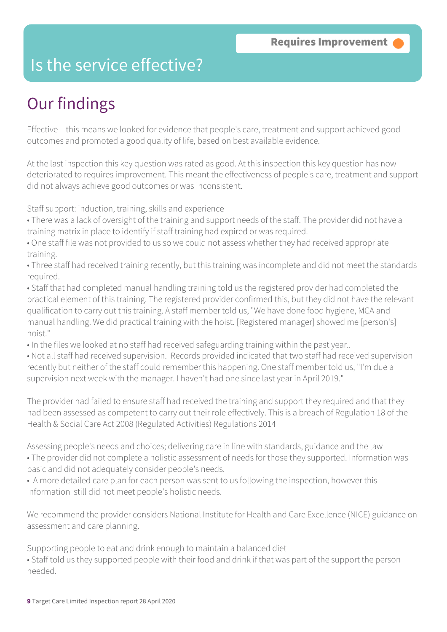### Is the service effective?

# Our findings

Effective – this means we looked for evidence that people's care, treatment and support achieved good outcomes and promoted a good quality of life, based on best available evidence.

At the last inspection this key question was rated as good. At this inspection this key question has now deteriorated to requires improvement. This meant the effectiveness of people's care, treatment and support did not always achieve good outcomes or was inconsistent.

Staff support: induction, training, skills and experience

- There was a lack of oversight of the training and support needs of the staff. The provider did not have a training matrix in place to identify if staff training had expired or was required.
- One staff file was not provided to us so we could not assess whether they had received appropriate training.
- Three staff had received training recently, but this training was incomplete and did not meet the standards required.
- Staff that had completed manual handling training told us the registered provider had completed the practical element of this training. The registered provider confirmed this, but they did not have the relevant qualification to carry out this training. A staff member told us, "We have done food hygiene, MCA and manual handling. We did practical training with the hoist. [Registered manager] showed me [person's] hoist."
- In the files we looked at no staff had received safeguarding training within the past year..
- Not all staff had received supervision. Records provided indicated that two staff had received supervision recently but neither of the staff could remember this happening. One staff member told us, "I'm due a supervision next week with the manager. I haven't had one since last year in April 2019."

The provider had failed to ensure staff had received the training and support they required and that they had been assessed as competent to carry out their role effectively. This is a breach of Regulation 18 of the Health & Social Care Act 2008 (Regulated Activities) Regulations 2014

Assessing people's needs and choices; delivering care in line with standards, guidance and the law • The provider did not complete a holistic assessment of needs for those they supported. Information was basic and did not adequately consider people's needs.

• A more detailed care plan for each person was sent to us following the inspection, however this information still did not meet people's holistic needs.

We recommend the provider considers National Institute for Health and Care Excellence (NICE) guidance on assessment and care planning.

Supporting people to eat and drink enough to maintain a balanced diet

• Staff told us they supported people with their food and drink if that was part of the support the person needed.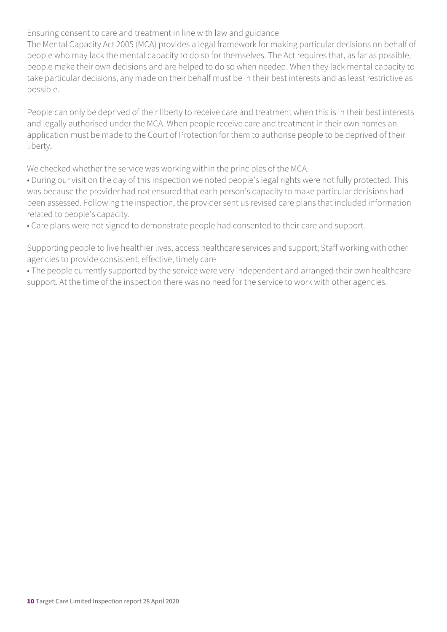#### Ensuring consent to care and treatment in line with law and guidance

The Mental Capacity Act 2005 (MCA) provides a legal framework for making particular decisions on behalf of people who may lack the mental capacity to do so for themselves. The Act requires that, as far as possible, people make their own decisions and are helped to do so when needed. When they lack mental capacity to take particular decisions, any made on their behalf must be in their best interests and as least restrictive as possible.

People can only be deprived of their liberty to receive care and treatment when this is in their best interests and legally authorised under the MCA. When people receive care and treatment in their own homes an application must be made to the Court of Protection for them to authorise people to be deprived of their liberty.

We checked whether the service was working within the principles of the MCA.

• During our visit on the day of this inspection we noted people's legal rights were not fully protected. This was because the provider had not ensured that each person's capacity to make particular decisions had been assessed. Following the inspection, the provider sent us revised care plans that included information related to people's capacity.

• Care plans were not signed to demonstrate people had consented to their care and support.

Supporting people to live healthier lives, access healthcare services and support; Staff working with other agencies to provide consistent, effective, timely care

• The people currently supported by the service were very independent and arranged their own healthcare support. At the time of the inspection there was no need for the service to work with other agencies.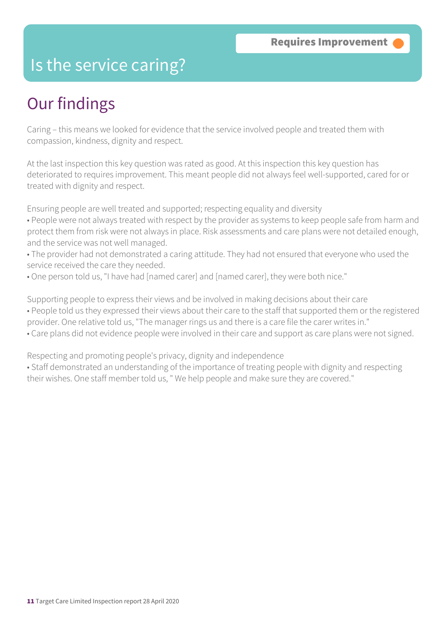### Is the service caring?

## Our findings

Caring – this means we looked for evidence that the service involved people and treated them with compassion, kindness, dignity and respect.

At the last inspection this key question was rated as good. At this inspection this key question has deteriorated to requires improvement. This meant people did not always feel well-supported, cared for or treated with dignity and respect.

Ensuring people are well treated and supported; respecting equality and diversity

- People were not always treated with respect by the provider as systems to keep people safe from harm and protect them from risk were not always in place. Risk assessments and care plans were not detailed enough, and the service was not well managed.
- The provider had not demonstrated a caring attitude. They had not ensured that everyone who used the service received the care they needed.
- One person told us, "I have had [named carer] and [named carer], they were both nice."

Supporting people to express their views and be involved in making decisions about their care • People told us they expressed their views about their care to the staff that supported them or the registered provider. One relative told us, "The manager rings us and there is a care file the carer writes in." • Care plans did not evidence people were involved in their care and support as care plans were not signed.

Respecting and promoting people's privacy, dignity and independence

• Staff demonstrated an understanding of the importance of treating people with dignity and respecting their wishes. One staff member told us, " We help people and make sure they are covered."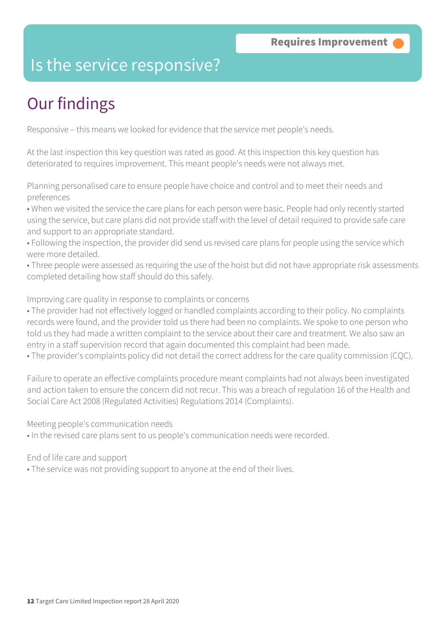### Is the service responsive?

# Our findings

Responsive – this means we looked for evidence that the service met people's needs.

At the last inspection this key question was rated as good. At this inspection this key question has deteriorated to requires improvement. This meant people's needs were not always met.

Planning personalised care to ensure people have choice and control and to meet their needs and preferences

• When we visited the service the care plans for each person were basic. People had only recently started using the service, but care plans did not provide staff with the level of detail required to provide safe care and support to an appropriate standard.

• Following the inspection, the provider did send us revised care plans for people using the service which were more detailed.

• Three people were assessed as requiring the use of the hoist but did not have appropriate risk assessments completed detailing how staff should do this safely.

Improving care quality in response to complaints or concerns

• The provider had not effectively logged or handled complaints according to their policy. No complaints records were found, and the provider told us there had been no complaints. We spoke to one person who told us they had made a written complaint to the service about their care and treatment. We also saw an entry in a staff supervision record that again documented this complaint had been made.

• The provider's complaints policy did not detail the correct address for the care quality commission (CQC).

Failure to operate an effective complaints procedure meant complaints had not always been investigated and action taken to ensure the concern did not recur. This was a breach of regulation 16 of the Health and Social Care Act 2008 (Regulated Activities) Regulations 2014 (Complaints).

Meeting people's communication needs

• In the revised care plans sent to us people's communication needs were recorded.

End of life care and support

• The service was not providing support to anyone at the end of their lives.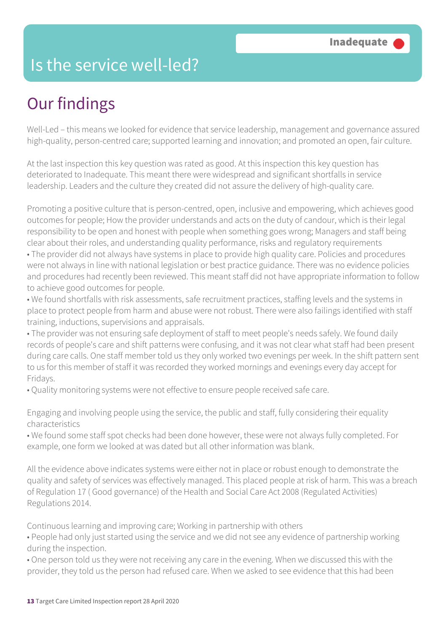### Is the service well-led?

# Our findings

Well-Led – this means we looked for evidence that service leadership, management and governance assured high-quality, person-centred care; supported learning and innovation; and promoted an open, fair culture.

At the last inspection this key question was rated as good. At this inspection this key question has deteriorated to Inadequate. This meant there were widespread and significant shortfalls in service leadership. Leaders and the culture they created did not assure the delivery of high-quality care.

Promoting a positive culture that is person-centred, open, inclusive and empowering, which achieves good outcomes for people; How the provider understands and acts on the duty of candour, which is their legal responsibility to be open and honest with people when something goes wrong; Managers and staff being clear about their roles, and understanding quality performance, risks and regulatory requirements

• The provider did not always have systems in place to provide high quality care. Policies and procedures were not always in line with national legislation or best practice guidance. There was no evidence policies and procedures had recently been reviewed. This meant staff did not have appropriate information to follow to achieve good outcomes for people.

• We found shortfalls with risk assessments, safe recruitment practices, staffing levels and the systems in place to protect people from harm and abuse were not robust. There were also failings identified with staff training, inductions, supervisions and appraisals.

• The provider was not ensuring safe deployment of staff to meet people's needs safely. We found daily records of people's care and shift patterns were confusing, and it was not clear what staff had been present during care calls. One staff member told us they only worked two evenings per week. In the shift pattern sent to us for this member of staff it was recorded they worked mornings and evenings every day accept for Fridays.

• Quality monitoring systems were not effective to ensure people received safe care.

Engaging and involving people using the service, the public and staff, fully considering their equality characteristics

• We found some staff spot checks had been done however, these were not always fully completed. For example, one form we looked at was dated but all other information was blank.

All the evidence above indicates systems were either not in place or robust enough to demonstrate the quality and safety of services was effectively managed. This placed people at risk of harm. This was a breach of Regulation 17 ( Good governance) of the Health and Social Care Act 2008 (Regulated Activities) Regulations 2014.

Continuous learning and improving care; Working in partnership with others

• People had only just started using the service and we did not see any evidence of partnership working during the inspection.

• One person told us they were not receiving any care in the evening. When we discussed this with the provider, they told us the person had refused care. When we asked to see evidence that this had been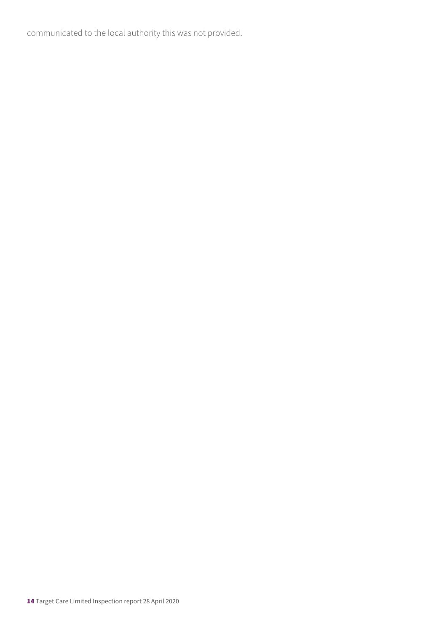communicated to the local authority this was not provided.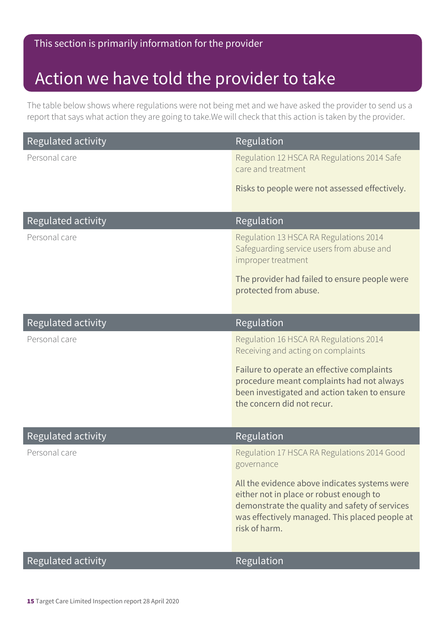#### This section is primarily information for the provider

### Action we have told the provider to take

The table below shows where regulations were not being met and we have asked the provider to send us a report that says what action they are going to take.We will check that this action is taken by the provider.

| Regulated activity | Regulation                                                                                                                                                                                                    |
|--------------------|---------------------------------------------------------------------------------------------------------------------------------------------------------------------------------------------------------------|
| Personal care      | Regulation 12 HSCA RA Regulations 2014 Safe<br>care and treatment                                                                                                                                             |
|                    | Risks to people were not assessed effectively.                                                                                                                                                                |
| Regulated activity | Regulation                                                                                                                                                                                                    |
| Personal care      | Regulation 13 HSCA RA Regulations 2014<br>Safeguarding service users from abuse and<br>improper treatment                                                                                                     |
|                    | The provider had failed to ensure people were<br>protected from abuse.                                                                                                                                        |
| Regulated activity | Regulation                                                                                                                                                                                                    |
| Personal care      | Regulation 16 HSCA RA Regulations 2014<br>Receiving and acting on complaints                                                                                                                                  |
|                    | Failure to operate an effective complaints<br>procedure meant complaints had not always<br>been investigated and action taken to ensure<br>the concern did not recur.                                         |
| Regulated activity | Regulation                                                                                                                                                                                                    |
| Personal care      | Regulation 17 HSCA RA Regulations 2014 Good<br>governance                                                                                                                                                     |
|                    | All the evidence above indicates systems were<br>either not in place or robust enough to<br>demonstrate the quality and safety of services<br>was effectively managed. This placed people at<br>risk of harm. |
| Regulated activity | Regulation                                                                                                                                                                                                    |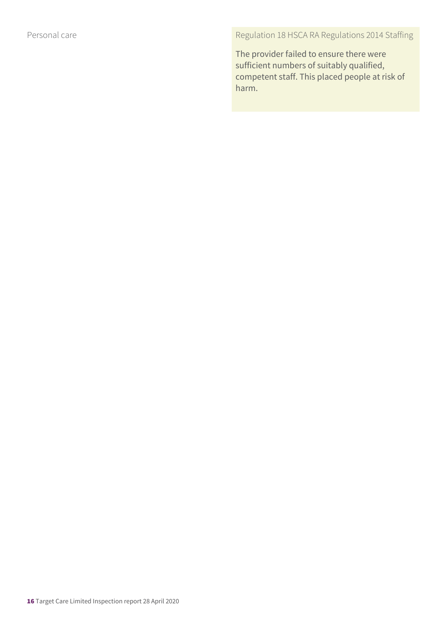Personal care **Regulation 18 HSCA RA Regulations 2014 Staffing** 

The provider failed to ensure there were sufficient numbers of suitably qualified, competent staff. This placed people at risk of harm.